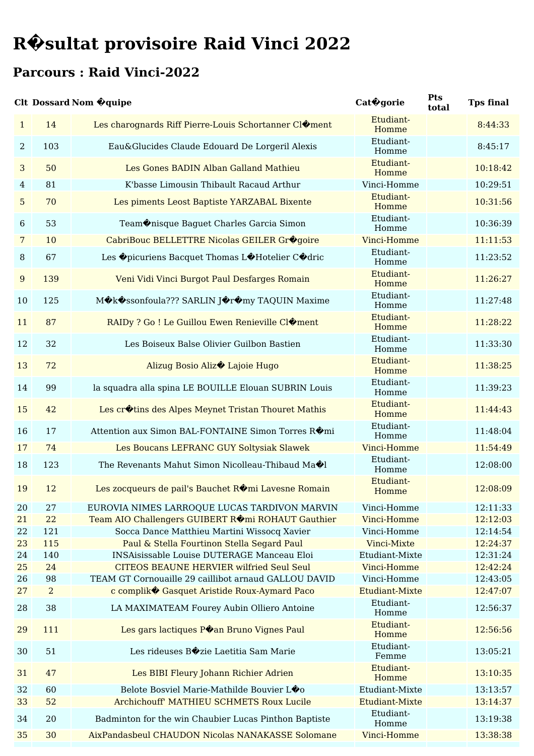#### **Parcours : Raid Vinci-2022**

#### **Clt Dossard Nom �quipe Cat�gorie**

|                  |                      | <b>Clt Dossard Nom Oguipe</b>                                                                           | Cat <sup>ogorie</sup>      | Pts<br>total | <b>Tps final</b>     |
|------------------|----------------------|---------------------------------------------------------------------------------------------------------|----------------------------|--------------|----------------------|
| $\mathbf{1}$     | 14                   | Les charognards Riff Pierre-Louis Schortanner Cl�ment                                                   | Etudiant-<br>Homme         |              | 8:44:33              |
| $\overline{2}$   | 103                  | Eau&Glucides Claude Edouard De Lorgeril Alexis                                                          | Etudiant-<br>Homme         |              | 8:45:17              |
| 3                | 50                   | Les Gones BADIN Alban Galland Mathieu                                                                   | Etudiant-<br>Homme         |              | 10:18:42             |
| 4                | 81                   | K'basse Limousin Thibault Racaud Arthur                                                                 | Vinci-Homme                |              | 10:29:51             |
| 5                | 70                   | Les piments Leost Baptiste YARZABAL Bixente                                                             | Etudiant-<br>Homme         |              | 10:31:56             |
| 6                | 53                   | Team $\diamond$ nisque Baguet Charles Garcia Simon                                                      | Etudiant-<br>Homme         |              | 10:36:39             |
| 7                | 10                   | CabriBouc BELLETTRE Nicolas GEILER Grogoire                                                             | Vinci-Homme                |              | 11:11:53             |
| $\, 8$           | 67                   | Les Opicuriens Bacquet Thomas LOHotelier COdric                                                         | Etudiant-<br>Homme         |              | 11:23:52             |
| $\boldsymbol{9}$ | 139                  | Veni Vidi Vinci Burgot Paul Desfarges Romain                                                            | Etudiant-<br>Homme         |              | 11:26:27             |
| 10               | 125                  | MOkOssonfoula??? SARLIN JOrOmy TAQUIN Maxime                                                            | Etudiant-<br>Homme         |              | 11:27:48             |
| 11               | 87                   | RAIDy ? Go ! Le Guillou Ewen Renieville Cl�ment                                                         | Etudiant-<br>Homme         |              | 11:28:22             |
| 12               | 32                   | Les Boiseux Balse Olivier Guilbon Bastien                                                               | Etudiant-<br>Homme         |              | 11:33:30             |
| 13               | 72                   | Alizug Bosio Aliz <sup>+</sup> Lajoie Hugo                                                              | Etudiant-<br>Homme         |              | 11:38:25             |
| 14               | 99                   | la squadra alla spina LE BOUILLE Elouan SUBRIN Louis                                                    | Etudiant-<br>Homme         |              | 11:39:23             |
| 15               | 42                   | Les cr $\lozenge$ tins des Alpes Meynet Tristan Thouret Mathis                                          | Etudiant-<br>Homme         |              | 11:44:43             |
| 16               | 17                   | Attention aux Simon BAL-FONTAINE Simon Torres R�mi                                                      | Etudiant-<br>Homme         |              | 11:48:04             |
| 17               | 74                   | Les Boucans LEFRANC GUY Soltysiak Slawek                                                                | Vinci-Homme                |              | 11:54:49             |
| 18               | 123                  | The Revenants Mahut Simon Nicolleau-Thibaud Ma $\circledast$ l                                          | Etudiant-<br>Homme         |              | 12:08:00             |
| 19               | 12                   | Les zocqueurs de pail's Bauchet ROmi Lavesne Romain                                                     | Etudiant-<br>Homme         |              | 12:08:09             |
| 20               | 27                   | EUROVIA NIMES LARROQUE LUCAS TARDIVON MARVIN                                                            | Vinci-Homme                |              | 12:11:33             |
| 21               | 22                   | Team AIO Challengers GUIBERT ROM ROHAUT Gauthier                                                        | Vinci-Homme                |              | 12:12:03             |
| 22               | 121                  | Socca Dance Matthieu Martini Wissocq Xavier                                                             | Vinci-Homme                |              | 12:14:54             |
| 23               | 115                  | Paul & Stella Fourtinon Stella Segard Paul                                                              | Vinci-Mixte                |              | 12:24:37             |
| 24               | 140                  | <b>INSAisissable Louise DUTERAGE Manceau Eloi</b>                                                       | Etudiant-Mixte             |              | 12:31:24             |
| 25               | 24                   | <b>CITEOS BEAUNE HERVIER wilfried Seul Seul</b><br>TEAM GT Cornouaille 29 caillibot arnaud GALLOU DAVID | Vinci-Homme<br>Vinci-Homme |              | 12:42:24             |
| 26<br>27         | 98<br>$\overline{2}$ | c complik� Gasquet Aristide Roux-Aymard Paco                                                            | <b>Etudiant-Mixte</b>      |              | 12:43:05<br>12:47:07 |
| 28               | 38                   | LA MAXIMATEAM Fourey Aubin Olliero Antoine                                                              | Etudiant-<br>Homme         |              | 12:56:37             |
| 29               | 111                  | Les gars lactiques Poan Bruno Vignes Paul                                                               | Etudiant-<br>Homme         |              | 12:56:56             |
| 30               | 51                   | Les rideuses Bozie Laetitia Sam Marie                                                                   | Etudiant-<br>Femme         |              | 13:05:21             |
| 31               | 47                   | Les BIBI Fleury Johann Richier Adrien                                                                   | Etudiant-<br>Homme         |              | 13:10:35             |
| 32               | 60                   | Belote Bosviel Marie-Mathilde Bouvier LO <sub>0</sub>                                                   | Etudiant-Mixte             |              | 13:13:57             |
| 33               | 52                   | Archichouff' MATHIEU SCHMETS Roux Lucile                                                                | <b>Etudiant-Mixte</b>      |              | 13:14:37             |
| 34               | 20                   | Badminton for the win Chaubier Lucas Pinthon Baptiste                                                   | Etudiant-<br>Homme         |              | 13:19:38             |
| 35               | 30                   | AixPandasbeul CHAUDON Nicolas NANAKASSE Solomane                                                        | Vinci-Homme                |              | 13:38:38             |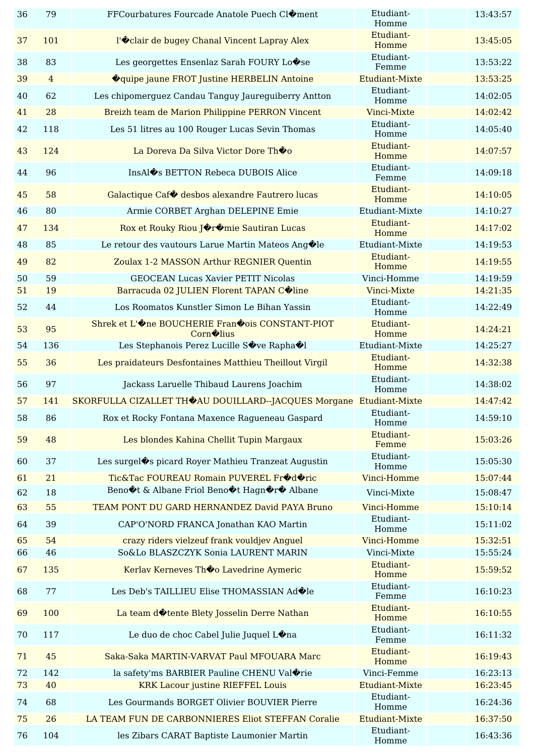| 36       | 79             | FFCourbatures Fourcade Anatole Puech Cl�ment                                                                       | Etudiant-<br>Homme          | 13:43:57             |
|----------|----------------|--------------------------------------------------------------------------------------------------------------------|-----------------------------|----------------------|
| 37       | 101            | l'Oclair de bugey Chanal Vincent Lapray Alex                                                                       | Etudiant-<br>Homme          | 13:45:05             |
| 38       | 83             | Les georgettes Ensenlaz Sarah FOURY Lo $\hat{\mathbf{\bullet}}$ se                                                 | Etudiant-<br>Femme          | 13:53:22             |
| 39       | $\overline{4}$ | <b>O</b> quipe jaune FROT Justine HERBELIN Antoine                                                                 | <b>Etudiant-Mixte</b>       | 13:53:25             |
| 40       | 62             | Les chipomerguez Candau Tanguy Jaureguiberry Antton                                                                | Etudiant-<br>Homme          | 14:02:05             |
| 41       | 28             | Breizh team de Marion Philippine PERRON Vincent                                                                    | Vinci-Mixte                 | 14:02:42             |
| 42       | 118            | Les 51 litres au 100 Rouger Lucas Sevin Thomas                                                                     | Etudiant-<br>Homme          | 14:05:40             |
| 43       | 124            | La Doreva Da Silva Victor Dore Thoo                                                                                | Etudiant-<br>Homme          | 14:07:57             |
| 44       | 96             | InsAl $\hat{\mathbf{\bullet}}$ s BETTON Rebeca DUBOIS Alice                                                        | Etudiant-<br>Femme          | 14:09:18             |
| 45       | 58             | Galactique Caf $\bullet$ desbos alexandre Fautrero lucas                                                           | Etudiant-<br>Homme          | 14:10:05             |
| 46       | 80             | Armie CORBET Arghan DELEPINE Emie                                                                                  | Etudiant-Mixte              | 14:10:27             |
| 47       | 134            | Rox et Rouky Riou JOrOmie Sautiran Lucas                                                                           | Etudiant-<br>Homme          | 14:17:02             |
| 48       | 85             | Le retour des vautours Larue Martin Mateos Ang $\bigcirc$ le                                                       | Etudiant-Mixte              | 14:19:53             |
| 49       | 82             | Zoulax 1-2 MASSON Arthur REGNIER Quentin                                                                           | Etudiant-<br>Homme          | 14:19:55             |
| 50       | 59             | <b>GEOCEAN Lucas Xavier PETIT Nicolas</b>                                                                          | Vinci-Homme                 | 14:19:59             |
| 51       | 19             | Barracuda 02 JULIEN Florent TAPAN COline                                                                           | Vinci-Mixte                 | 14:21:35             |
| 52       | 44             | Los Roomatos Kunstler Simon Le Bihan Yassin                                                                        | Etudiant-<br>Homme          | 14:22:49             |
| 53       | 95             | Shrek et L'One BOUCHERIE FranOois CONSTANT-PIOT<br>Corn <sup>o</sup> lius                                          | Etudiant-<br>Homme          | 14:24:21             |
| 54       | 136            | Les Stephanois Perez Lucille Sove Rapha VI                                                                         | Etudiant-Mixte              | 14:25:27             |
| 55       | 36             | Les praidateurs Desfontaines Matthieu Theillout Virgil                                                             | Etudiant-<br>Homme          | 14:32:38             |
|          |                |                                                                                                                    |                             |                      |
| 56       | 97             | Jackass Laruelle Thibaud Laurens Joachim                                                                           | Etudiant-                   | 14:38:02             |
| 57       | 141            | SKORFULLA CIZALLET THOAU DOUILLARD--JACQUES Morgane Etudiant-Mixte                                                 | Homme                       | 14:47:42             |
| 58       | 86             | Rox et Rocky Fontana Maxence Ragueneau Gaspard                                                                     | Etudiant-<br>Homme          | 14:59:10             |
| 59       | 48             | Les blondes Kahina Chellit Tupin Margaux                                                                           | Etudiant-<br>Femme          | 15:03:26             |
| 60       | 37             | Les surgel�s picard Royer Mathieu Tranzeat Augustin                                                                | Etudiant-<br>Homme          | 15:05:30             |
| 61       | 21             | Tic&Tac FOUREAU Romain PUVEREL Fr�d�ric                                                                            | Vinci-Homme                 | 15:07:44             |
| 62       | 18             | Beno $\textcircled{1}$ t & Albane Friol Beno $\textcircled{1}$ t Hagn $\textcircled{1}$ r $\textcircled{2}$ Albane | Vinci-Mixte                 | 15:08:47             |
| 63       | 55             | TEAM PONT DU GARD HERNANDEZ David PAYA Bruno                                                                       | Vinci-Homme                 | 15:10:14             |
| 64       | 39             | CAP'O'NORD FRANCA Jonathan KAO Martin                                                                              | Etudiant-<br>Homme          | 15:11:02             |
| 65       | 54             | crazy riders vielzeuf frank vouldjev Anguel                                                                        | Vinci-Homme                 | 15:32:51             |
| 66       | 46             | So&Lo BLASZCZYK Sonia LAURENT MARIN                                                                                | Vinci-Mixte                 | 15:55:24             |
| 67       | 135            | Kerlav Kerneves Thoo Lavedrine Aymeric                                                                             | Etudiant-<br>Homme          | 15:59:52             |
| 68       | 77             | Les Deb's TAILLIEU Elise THOMASSIAN Ad $\bigcirc$ le                                                               | Etudiant-<br>Femme          | 16:10:23             |
| 69       | 100            | La team dotente Blety Josselin Derre Nathan                                                                        | Etudiant-<br>Homme          | 16:10:55             |
| 70       | 117            | Le duo de choc Cabel Julie Juquel L $\circledast$ na                                                               | Etudiant-<br>Femme          | 16:11:32             |
| 71       | 45             | Saka-Saka MARTIN-VARVAT Paul MFOUARA Marc                                                                          | Etudiant-<br>Homme          | 16:19:43             |
| 72       | 142            | la safety'ms BARBIER Pauline CHENU Val $\text{\textcircled{\char'42}}$ rie                                         | Vinci-Femme                 | 16:23:13             |
| 73       | 40             | <b>KRK Lacour justine RIEFFEL Louis</b>                                                                            | Etudiant-Mixte              | 16:23:45             |
| 74       | 68             | Les Gourmands BORGET Olivier BOUVIER Pierre                                                                        | Etudiant-<br>Homme          | 16:24:36             |
| 75<br>76 | 26<br>104      | LA TEAM FUN DE CARBONNIERES Eliot STEFFAN Coralie<br>les Zibars CARAT Baptiste Laumonier Martin                    | Etudiant-Mixte<br>Etudiant- | 16:37:50<br>16:43:36 |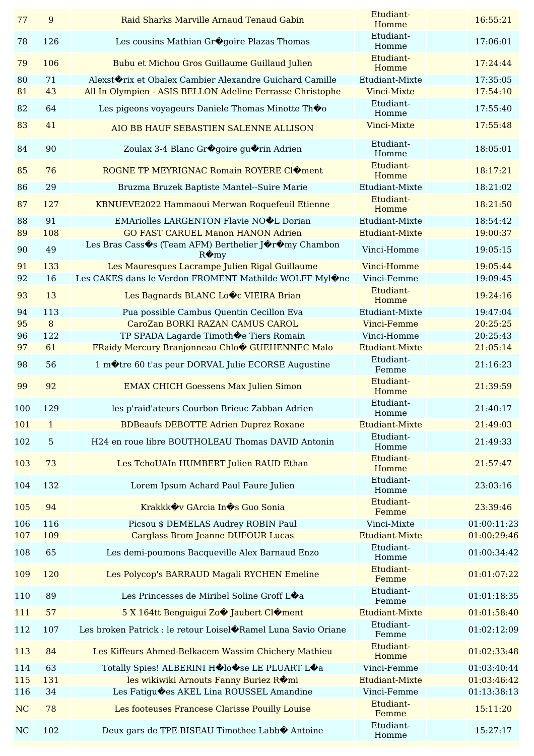| 77             | $\overline{9}$   | Raid Sharks Marville Arnaud Tenaud Gabin                                    | Etudiant-<br>Homme    | 16:55:21    |
|----------------|------------------|-----------------------------------------------------------------------------|-----------------------|-------------|
| 78             | 126              | Les cousins Mathian Gr�goire Plazas Thomas                                  | Etudiant-<br>Homme    | 17:06:01    |
| 79             | 106              | Bubu et Michou Gros Guillaume Guillaud Julien                               | Etudiant-<br>Homme    | 17:24:44    |
| 80             | 71               | Alexst $\textcircled{r}$ rix et Obalex Cambier Alexandre Guichard Camille   | Etudiant-Mixte        | 17:35:05    |
| 81             | 43               | All In Olympien - ASIS BELLON Adeline Ferrasse Christophe                   | Vinci-Mixte           | 17:54:10    |
| 82             | 64               | Les pigeons voyageurs Daniele Thomas Minotte Thoo                           | Etudiant-<br>Homme    | 17:55:40    |
| 83             | 41               | AIO BB HAUF SEBASTIEN SALENNE ALLISON                                       | Vinci-Mixte           | 17:55:48    |
| 84             | 90               | Zoulax 3-4 Blanc Gr�goire gu�rin Adrien                                     | Etudiant-<br>Homme    | 18:05:01    |
| 85             | 76               | ROGNE TP MEYRIGNAC Romain ROYERE CIOment                                    | Etudiant-<br>Homme    | 18:17:21    |
| 86             | 29               | Bruzma Bruzek Baptiste Mantel--Suire Marie                                  | Etudiant-Mixte        | 18:21:02    |
| 87             | 127              | KBNUEVE2022 Hammaoui Merwan Roquefeuil Etienne                              | Etudiant-<br>Homme    | 18:21:50    |
| 88             | 91               | EMAriolles LARGENTON Flavie NOOL Dorian                                     | Etudiant-Mixte        | 18:54:42    |
| 89             | 108              | <b>GO FAST CARUEL Manon HANON Adrien</b>                                    | Etudiant-Mixte        | 19:00:37    |
| 90             | 49               | Les Bras Cass�s (Team AFM) Berthelier J�r�my Chambon<br>$R\hat{\otimes}$ my | Vinci-Homme           | 19:05:15    |
| 91             | 133              | Les Mauresques Lacrampe Julien Rigal Guillaume                              | Vinci-Homme           | 19:05:44    |
| 92             | 16               | Les CAKES dans le Verdon FROMENT Mathilde WOLFF Myl $\circledast$ ne        | Vinci-Femme           | 19:09:45    |
| 93             | 13               | Les Bagnards BLANC Lovc VIEIRA Brian                                        | Etudiant-<br>Homme    | 19:24:16    |
| 94             | 113              | Pua possible Cambus Quentin Cecillon Eva                                    | Etudiant-Mixte        | 19:47:04    |
| 95             | $\boldsymbol{8}$ | CaroZan BORKI RAZAN CAMUS CAROL                                             | Vinci-Femme           | 20:25:25    |
| 96             | 122              | TP SPADA Lagarde Timoth De Tiers Romain                                     | Vinci-Homme           | 20:25:43    |
| 97             | 61               | FRaidy Mercury Branjonneau Chlo CUEHENNEC Malo                              | <b>Etudiant-Mixte</b> | 21:05:14    |
| 98             | 56               | 1 motre 60 t'as peur DORVAL Julie ECORSE Augustine                          | Etudiant-<br>Femme    | 21:16:23    |
| 99             | 92               | <b>EMAX CHICH Goessens Max Julien Simon</b>                                 | Etudiant-<br>Homme    | 21:39:59    |
| 100            | 129              | les p'raid'ateurs Courbon Brieuc Zabban Adrien                              | Etudiant-<br>Homme    | 21:40:17    |
| 101            | $\mathbf{1}$     | <b>BDBeaufs DEBOTTE Adrien Duprez Roxane</b>                                | Etudiant-Mixte        | 21:49:03    |
| 102            | $\overline{5}$   | H24 en roue libre BOUTHOLEAU Thomas DAVID Antonin                           | Etudiant-<br>Homme    | 21:49:33    |
| 103            | 73               | Les TchoUAIn HUMBERT Julien RAUD Ethan                                      | Etudiant-<br>Homme    | 21:57:47    |
| 104            | 132              | Lorem Ipsum Achard Paul Faure Julien                                        | Etudiant-<br>Homme    | 23:03:16    |
| 105            | 94               | Krakkk $\diamond$ v GArcia In $\diamond$ s Guo Sonia                        | Etudiant-<br>Femme    | 23:39:46    |
| 106            | 116              | Picsou \$ DEMELAS Audrey ROBIN Paul                                         | Vinci-Mixte           | 01:00:11:23 |
| 107            | 109              | <b>Carglass Brom Jeanne DUFOUR Lucas</b>                                    | Etudiant-Mixte        | 01:00:29:46 |
| 108            | 65               | Les demi-poumons Bacqueville Alex Barnaud Enzo                              | Etudiant-<br>Homme    | 01:00:34:42 |
| 109            | 120              | Les Polycop's BARRAUD Magali RYCHEN Emeline                                 | Etudiant-<br>Femme    | 01:01:07:22 |
| 110            | 89               | Les Princesses de Miribel Soline Groff L $\hat{\mathbf{\bullet}}$ a         | Etudiant-<br>Femme    | 01:01:18:35 |
| 111            | 57               | 5 X 164tt Benguigui Zo� Jaubert Cl�ment                                     | <b>Etudiant-Mixte</b> | 01:01:58:40 |
| 112            | 107              | Les broken Patrick : le retour Loisel�Ramel Luna Savio Oriane               | Etudiant-<br>Femme    | 01:02:12:09 |
| 113            | 84               | Les Kiffeurs Ahmed-Belkacem Wassim Chichery Mathieu                         | Etudiant-<br>Homme    | 01:02:33:48 |
| 114            | 63               | Totally Spies! ALBERINI H�lo�se LE PLUART L�a                               | Vinci-Femme           | 01:03:40:44 |
| 115            | 131              | les wikiwiki Arnouts Fanny Buriez ROmi                                      | Etudiant-Mixte        | 01:03:46:42 |
| 116            | 34               | Les Fatigu $\textcircled{\textbf{e}}$ es AKEL Lina ROUSSEL Amandine         | Vinci-Femme           | 01:13:38:13 |
| NC             | 78               | Les footeuses Francese Clarisse Pouilly Louise                              | Etudiant-<br>Femme    | 15:11:20    |
| N <sub>C</sub> | 102              | Deux gars de TPE BISEAU Timothee Labb� Antoine                              | Etudiant-<br>Homme    | 15:27:17    |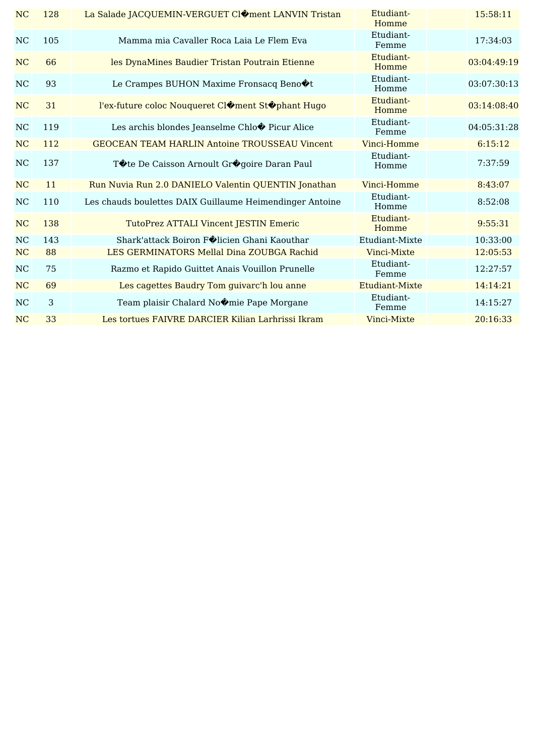| NC        | 128 | La Salade JACQUEMIN-VERGUET ClOment LANVIN Tristan               | Etudiant-<br>Homme | 15:58:11    |
|-----------|-----|------------------------------------------------------------------|--------------------|-------------|
| <b>NC</b> | 105 | Mamma mia Cavaller Roca Laia Le Flem Eva                         | Etudiant-<br>Femme | 17:34:03    |
| NC        | 66  | les DynaMines Baudier Tristan Poutrain Etienne                   | Etudiant-<br>Homme | 03:04:49:19 |
| <b>NC</b> | 93  | Le Crampes BUHON Maxime Fronsacq Beno $\textcircled{\textbf{t}}$ | Etudiant-<br>Homme | 03:07:30:13 |
| NC        | 31  | l'ex-future coloc Nouqueret Cl�ment St�phant Hugo                | Etudiant-<br>Homme | 03:14:08:40 |
| NC        | 119 | Les archis blondes Jeanselme Chlo $\bullet$ Picur Alice          | Etudiant-<br>Femme | 04:05:31:28 |
| NC        | 112 | <b>GEOCEAN TEAM HARLIN Antoine TROUSSEAU Vincent</b>             | Vinci-Homme        | 6:15:12     |
| <b>NC</b> | 137 | T♦ te De Caisson Arnoult Gr♦ goire Daran Paul                    | Etudiant-<br>Homme | 7:37:59     |
| <b>NC</b> | 11  | Run Nuvia Run 2.0 DANIELO Valentin QUENTIN Jonathan              | Vinci-Homme        | 8:43:07     |
| NC        | 110 | Les chauds boulettes DAIX Guillaume Heimendinger Antoine         | Etudiant-<br>Homme | 8:52:08     |
| <b>NC</b> | 138 | TutoPrez ATTALI Vincent JESTIN Emeric                            | Etudiant-<br>Homme | 9:55:31     |
| $\rm NC$  | 143 | Shark'attack Boiron Filicien Ghani Kaouthar                      | Etudiant-Mixte     | 10:33:00    |
| NC        | 88  | LES GERMINATORS Mellal Dina ZOUBGA Rachid                        | Vinci-Mixte        | 12:05:53    |
| NC        | 75  | Razmo et Rapido Guittet Anais Vouillon Prunelle                  | Etudiant-<br>Femme | 12:27:57    |
| NC        | 69  | Les cagettes Baudry Tom guivarc'h lou anne                       | Etudiant-Mixte     | 14:14:21    |
| <b>NC</b> | 3   | Team plaisir Chalard No�mie Pape Morgane                         | Etudiant-<br>Femme | 14:15:27    |
| NC        | 33  | Les tortues FAIVRE DARCIER Kilian Larhrissi Ikram                | Vinci-Mixte        | 20:16:33    |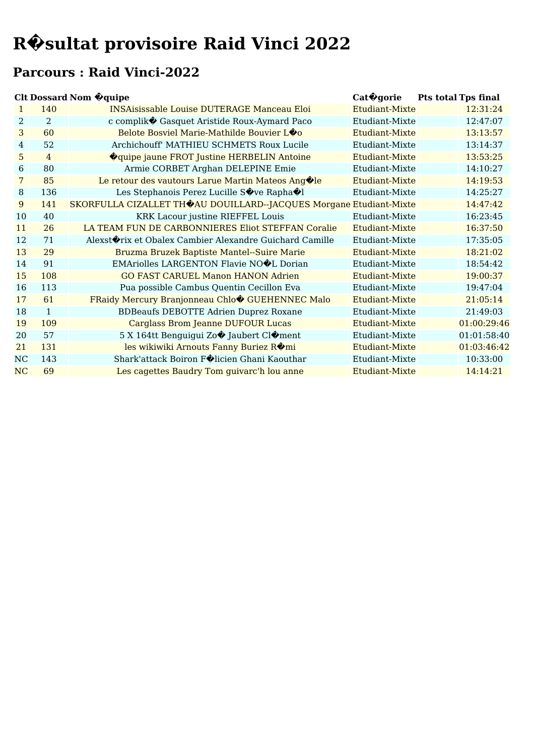#### **Parcours : Raid Vinci-2022**

#### **Clt Dossard Nom �quipe Cat�gorie Pts total Tps final**

|             |                | си роззага гош учире                                               | Cat v gol ic          | <b>L to total Tps Illial</b> |
|-------------|----------------|--------------------------------------------------------------------|-----------------------|------------------------------|
| 1           | 140            | <b>INSAisissable Louise DUTERAGE Manceau Eloi</b>                  | Etudiant-Mixte        | 12:31:24                     |
| 2           | $\overline{2}$ | c complik� Gasquet Aristide Roux-Aymard Paco                       | Etudiant-Mixte        | 12:47:07                     |
| 3           | 60             | Belote Bosviel Marie-Mathilde Bouvier LOO                          | Etudiant-Mixte        | 13:13:57                     |
| 4           | 52             | Archichouff' MATHIEU SCHMETS Roux Lucile                           | Etudiant-Mixte        | 13:14:37                     |
| $5^{\circ}$ | $\overline{4}$ | <b>O</b> quipe jaune FROT Justine HERBELIN Antoine                 | Etudiant-Mixte        | 13:53:25                     |
| 6           | 80             | Armie CORBET Arghan DELEPINE Emie                                  | Etudiant-Mixte        | 14:10:27                     |
| 7           | 85             | Le retour des vautours Larue Martin Mateos Ang $\bigcirc$ le       | Etudiant-Mixte        | 14:19:53                     |
| 8           | 136            | Les Stephanois Perez Lucille Sove Rapha I                          | Etudiant-Mixte        | 14:25:27                     |
| 9           | 141            | SKORFULLA CIZALLET THOAU DOUILLARD--JACQUES Morgane Etudiant-Mixte |                       | 14:47:42                     |
| 10          | 40             | KRK Lacour justine RIEFFEL Louis                                   | Etudiant-Mixte        | 16:23:45                     |
| 11          | 26             | LA TEAM FUN DE CARBONNIERES Eliot STEFFAN Coralie                  | Etudiant-Mixte        | 16:37:50                     |
| 12          | 71             | Alexst $\lozenge$ rix et Obalex Cambier Alexandre Guichard Camille | Etudiant-Mixte        | 17:35:05                     |
| 13          | 29             | Bruzma Bruzek Baptiste Mantel--Suire Marie                         | Etudiant-Mixte        | 18:21:02                     |
| 14          | 91             | EMAriolles LARGENTON Flavie NOOL Dorian                            | Etudiant-Mixte        | 18:54:42                     |
| 15          | 108            | <b>GO FAST CARUEL Manon HANON Adrien</b>                           | Etudiant-Mixte        | 19:00:37                     |
| 16          | 113            | Pua possible Cambus Quentin Cecillon Eva                           | Etudiant-Mixte        | 19:47:04                     |
| 17          | 61             | FRaidy Mercury Branjonneau Chlo CUEHENNEC Malo                     | Etudiant-Mixte        | 21:05:14                     |
| 18          | 1              | <b>BDBeaufs DEBOTTE Adrien Duprez Roxane</b>                       | Etudiant-Mixte        | 21:49:03                     |
| 19          | 109            | <b>Carglass Brom Jeanne DUFOUR Lucas</b>                           | Etudiant-Mixte        | 01:00:29:46                  |
| 20          | 57             | 5 X 164tt Benguigui Zo� Jaubert Cl�ment                            | Etudiant-Mixte        | 01:01:58:40                  |
| 21          | 131            | les wikiwiki Arnouts Fanny Buriez ROmi                             | Etudiant-Mixte        | 01:03:46:42                  |
| NC          | 143            | Shark'attack Boiron Filicien Ghani Kaouthar                        | Etudiant-Mixte        | 10:33:00                     |
| NC          | 69             | Les cagettes Baudry Tom guivarc'h lou anne                         | <b>Etudiant-Mixte</b> | 14:14:21                     |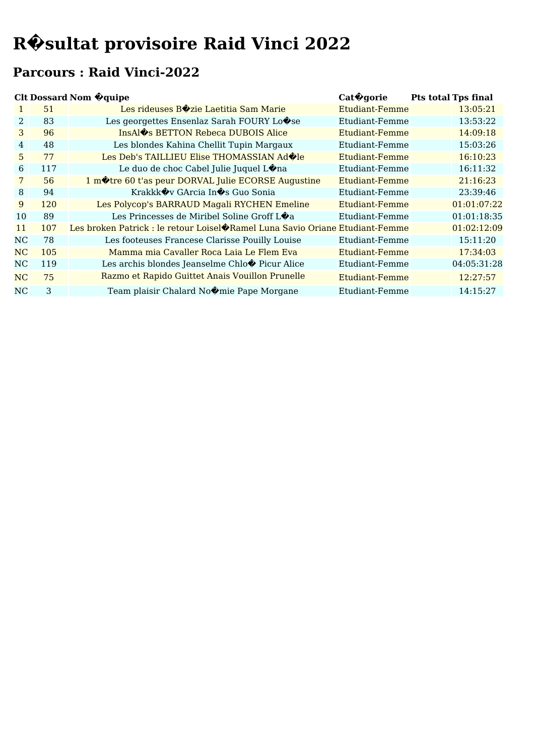#### **Parcours : Raid Vinci-2022**

|                | <b>Clt Dossard Nom @quipe</b><br>Cat <sup>o</sup> gorie |                                                                              |                | <b>Pts total Tps final</b> |             |
|----------------|---------------------------------------------------------|------------------------------------------------------------------------------|----------------|----------------------------|-------------|
|                | 51                                                      | Les rideuses BOzie Laetitia Sam Marie                                        | Etudiant-Femme |                            | 13:05:21    |
| 2.             | 83                                                      | Les georgettes Ensenlaz Sarah FOURY Lo $\hat{\mathbf{\diamond}}$ se          | Etudiant-Femme |                            | 13:53:22    |
| 3              | 96                                                      | InsAl $\diamond$ s BETTON Rebeca DUBOIS Alice                                | Etudiant-Femme |                            | 14:09:18    |
| $\overline{4}$ | 48                                                      | Les blondes Kahina Chellit Tupin Margaux                                     | Etudiant-Femme |                            | 15:03:26    |
| 5.             | 77                                                      | Les Deb's TAILLIEU Elise THOMASSIAN Ad <sup>1</sup> e                        | Etudiant-Femme |                            | 16:10:23    |
| 6              | 117                                                     | Le duo de choc Cabel Julie Juquel Lona                                       | Etudiant-Femme |                            | 16:11:32    |
| 7              | 56                                                      | 1 mote 60 t'as peur DORVAL Julie ECORSE Augustine                            | Etudiant-Femme |                            | 21:16:23    |
| 8              | 94                                                      | Krakkk�v GArcia In�s Guo Sonia                                               | Etudiant-Femme |                            | 23:39:46    |
| 9              | 120                                                     | Les Polycop's BARRAUD Magali RYCHEN Emeline                                  | Etudiant-Femme |                            | 01:01:07:22 |
| 10             | 89                                                      | Les Princesses de Miribel Soline Groff L $\bigcirc$ a                        | Etudiant-Femme |                            | 01:01:18:35 |
| 11             | 107                                                     | Les broken Patrick : le retour Loisel�Ramel Luna Savio Oriane Etudiant-Femme |                |                            | 01:02:12:09 |
| NC             | 78                                                      | Les footeuses Francese Clarisse Pouilly Louise                               | Etudiant-Femme |                            | 15:11:20    |
| NC             | 105                                                     | Mamma mia Cavaller Roca Laia Le Flem Eva                                     | Etudiant-Femme |                            | 17:34:03    |
| NC             | 119                                                     | Les archis blondes Jeanselme Chlo� Picur Alice                               | Etudiant-Femme |                            | 04:05:31:28 |
| NC             | 75                                                      | Razmo et Rapido Guittet Anais Vouillon Prunelle                              | Etudiant-Femme |                            | 12:27:57    |
| NC             | 3                                                       | Team plaisir Chalard No $\circledast$ mie Pape Morgane                       | Etudiant-Femme |                            | 14:15:27    |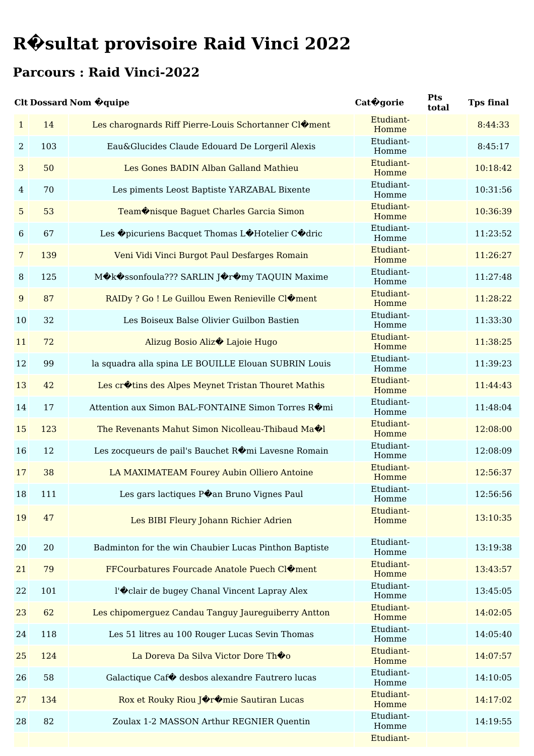#### **Parcours : Raid Vinci-2022**

#### **Clt Dossard Nom �quipe Cat�gorie Pts total Tps final** 1 14 Les charognards Riff Pierre-Louis Schortanner Cl�ment Etudiant-Homme 2 103 Eau&Glucides Claude Edouard De Lorgeril Alexis Etudiant-Homme 3 50 Les Gones BADIN Alban Galland Mathieu Etudiant-Homme 10:18:42 4 70 Les piments Leost Baptiste YARZABAL Bixente Etudiant-Homme 10:31:56 5 53 Team�nisque Baguet Charles Garcia Simon Etudiant-Homme 10:36:39 6 67 Les  $\hat{\mathbf{\Theta}}$  picuriens Bacquet Thomas L $\hat{\mathbf{\Theta}}$ Hotelier C $\hat{\mathbf{\Theta}}$ dric Etudiant-Homme 11:23:52 7 139 Veni Vidi Vinci Burgot Paul Desfarges Romain Etudiant-Homme 11:26:27 8 125 M $\Diamond$ k $\Diamond$ ssonfoula??? SARLIN J $\Diamond$ r $\Diamond$ my TAQUIN Maxime Etudiant-Homme 11:27:48 9 87 RAIDy ? Go ! Le Guillou Ewen Renieville Cl�ment Etudiant-Homme 11:28:22 10 32 Les Boiseux Balse Olivier Guilbon Bastien Etudiant-Homme 11:33:30 11 72 Alizug Bosio Aliz $\bullet$  Lajoie Hugo Etudiant-Homme 11:38:25 12 99 la squadra alla spina LE BOUILLE Elouan SUBRIN Louis Etudiant-Homme 11:39:23 13 42 Les cr�tins des Alpes Meynet Tristan Thouret Mathis Etudiant-Homme 11:44:43 14 17 Attention aux Simon BAL-FONTAINE Simon Torres Romi Etudiant-Homme 11:48:04 <sup>15</sup> <sup>123</sup> The Revenants Mahut Simon Nicolleau-Thibaud Ma�l Etudiant-Homme 12:08:00 16 12 Les zocqueurs de pail's Bauchet Romi Lavesne Romain Etudiant-Homme 12:08:09 17 38 LA MAXIMATEAM Fourey Aubin Olliero Antoine Etudiant-Homme 12:56:37 18 111 Les gars lactiques P $\bullet$ an Bruno Vignes Paul Etudiant-Homme 12:56:56 19 47 Les BIBI Fleury Johann Richier Adrien Etudiant-Homme 13:10:35 20 20 Badminton for the win Chaubier Lucas Pinthon Baptiste Etudiant-Homme 13:19:38 21 79 FFCourbatures Fourcade Anatole Puech Cloment Homme 13:43:57 22 101 l' $\bullet$ clair de bugey Chanal Vincent Lapray Alex Etudiant-Homme 13:45:05 23 62 Les chipomerguez Candau Tanguy Jaureguiberry Antton Etudiant-Homme 14:02:05 24 118 Les 51 litres au 100 Rouger Lucas Sevin Thomas Etudiant-Homme 14:05:40 25 124 La Doreva Da Silva Victor Dore Thome Etudiant-Homme  $14.07.57$ 26 58 Galactique Caf� desbos alexandre Fautrero lucas Etudiant-Homme 14:10:05

Etudiant-Homme

Etudiant-Homme

Etudiant-

14:17:02

14:19:55

27 134 Rox et Rouky Riou Joromie Sautiran Lucas

28 82 Zoulax 1-2 MASSON Arthur REGNIER Quentin

8:44:33

8:45:17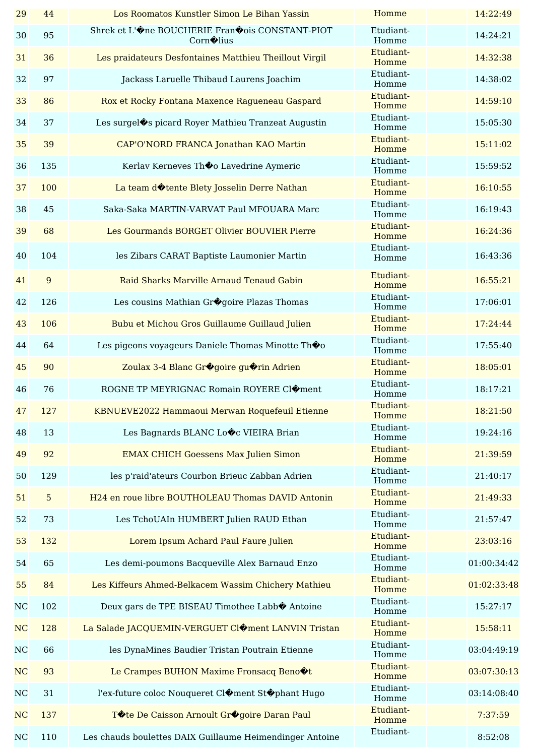| 29          | 44             | Los Roomatos Kunstler Simon Le Bihan Yassin                                | Homme              | 14:22:49    |
|-------------|----------------|----------------------------------------------------------------------------|--------------------|-------------|
| 30          | 95             | Shrek et L'One BOUCHERIE FranOois CONSTANT-PIOT<br>Corn <sup>ol</sup> lius | Etudiant-<br>Homme | 14:24:21    |
| 31          | 36             | Les praidateurs Desfontaines Matthieu Theillout Virgil                     | Etudiant-<br>Homme | 14:32:38    |
| 32          | 97             | Jackass Laruelle Thibaud Laurens Joachim                                   | Etudiant-<br>Homme | 14:38:02    |
| 33          | 86             | Rox et Rocky Fontana Maxence Ragueneau Gaspard                             | Etudiant-<br>Homme | 14:59:10    |
| 34          | 37             | Les surgel�s picard Royer Mathieu Tranzeat Augustin                        | Etudiant-<br>Homme | 15:05:30    |
| 35          | 39             | CAP'O'NORD FRANCA Jonathan KAO Martin                                      | Etudiant-<br>Homme | 15:11:02    |
| 36          | 135            | Kerlav Kerneves Th�o Lavedrine Aymeric                                     | Etudiant-<br>Homme | 15:59:52    |
| 37          | 100            | La team dotente Blety Josselin Derre Nathan                                | Etudiant-<br>Homme | 16:10:55    |
| 38          | 45             | Saka-Saka MARTIN-VARVAT Paul MFOUARA Marc                                  | Etudiant-<br>Homme | 16:19:43    |
| 39          | 68             | Les Gourmands BORGET Olivier BOUVIER Pierre                                | Etudiant-<br>Homme | 16:24:36    |
| 40          | 104            | les Zibars CARAT Baptiste Laumonier Martin                                 | Etudiant-<br>Homme | 16:43:36    |
| 41          | 9              | Raid Sharks Marville Arnaud Tenaud Gabin                                   | Etudiant-<br>Homme | 16:55:21    |
| 42          | 126            | Les cousins Mathian Gr�goire Plazas Thomas                                 | Etudiant-<br>Homme | 17:06:01    |
| 43          | 106            | Bubu et Michou Gros Guillaume Guillaud Julien                              | Etudiant-<br>Homme | 17:24:44    |
| 44          | 64             | Les pigeons voyageurs Daniele Thomas Minotte Thoo                          | Etudiant-<br>Homme | 17:55:40    |
| 45          | 90             | Zoulax 3-4 Blanc Gr@goire gu@rin Adrien                                    | Etudiant-<br>Homme | 18:05:01    |
| 46          | 76             | ROGNE TP MEYRIGNAC Romain ROYERE CIOment                                   | Etudiant-<br>Homme | 18:17:21    |
| 47          | 127            | KBNUEVE2022 Hammaoui Merwan Roquefeuil Etienne                             | Etudiant-<br>Homme | 18:21:50    |
| 48          | 13             | Les Bagnards BLANC Looc VIEIRA Brian                                       | Etudiant-<br>Homme | 19:24:16    |
| 49          | 92             | <b>EMAX CHICH Goessens Max Julien Simon</b>                                | Etudiant-<br>Homme | 21:39:59    |
| 50          | 129            | les p'raid'ateurs Courbon Brieuc Zabban Adrien                             | Etudiant-<br>Homme | 21:40:17    |
| 51          | $\overline{5}$ | H24 en roue libre BOUTHOLEAU Thomas DAVID Antonin                          | Etudiant-<br>Homme | 21:49:33    |
| 52          | 73             | Les TchoUAIn HUMBERT Julien RAUD Ethan                                     | Etudiant-<br>Homme | 21:57:47    |
| 53          | 132            | Lorem Ipsum Achard Paul Faure Julien                                       | Etudiant-<br>Homme | 23:03:16    |
| 54          | 65             | Les demi-poumons Bacqueville Alex Barnaud Enzo                             | Etudiant-<br>Homme | 01:00:34:42 |
| 55          | 84             | Les Kiffeurs Ahmed-Belkacem Wassim Chichery Mathieu                        | Etudiant-<br>Homme | 01:02:33:48 |
| NC          | 102            | Deux gars de TPE BISEAU Timothee Labb� Antoine                             | Etudiant-<br>Homme | 15:27:17    |
| NC          | 128            | La Salade JACQUEMIN-VERGUET Cloment LANVIN Tristan                         | Etudiant-<br>Homme | 15:58:11    |
| NC          | 66             | les DynaMines Baudier Tristan Poutrain Etienne                             | Etudiant-<br>Homme | 03:04:49:19 |
| NC          | 93             | Le Crampes BUHON Maxime Fronsacq Beno $\textcircled{\texttt{t}}$           | Etudiant-<br>Homme | 03:07:30:13 |
| $_{\rm NC}$ | 31             | l'ex-future coloc Nouqueret Cl�ment St�phant Hugo                          | Etudiant-<br>Homme | 03:14:08:40 |
| NC          | 137            | Tote De Caisson Arnoult Grogoire Daran Paul                                | Etudiant-<br>Homme | 7:37:59     |
| NC          | 110            | Les chauds boulettes DAIX Guillaume Heimendinger Antoine                   | Etudiant-          | 8:52:08     |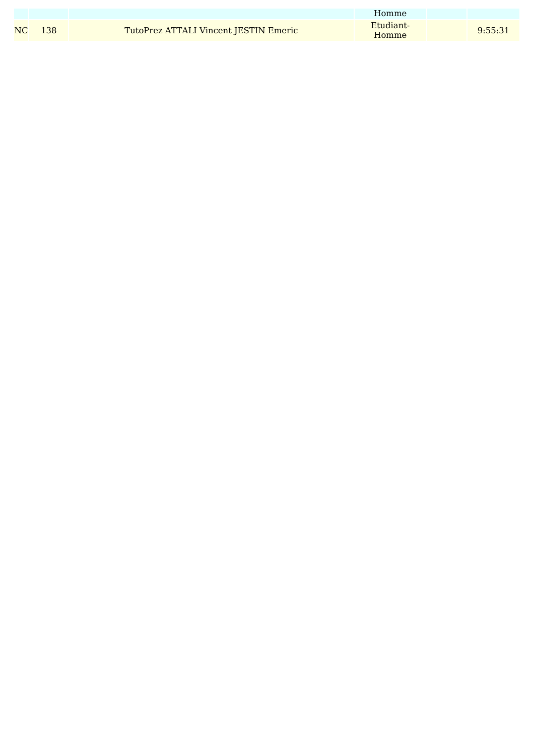|        |                                       | Homme              |         |
|--------|---------------------------------------|--------------------|---------|
| NC 138 | TutoPrez ATTALI Vincent JESTIN Emeric | Etudiant-<br>Homme | 9:55:31 |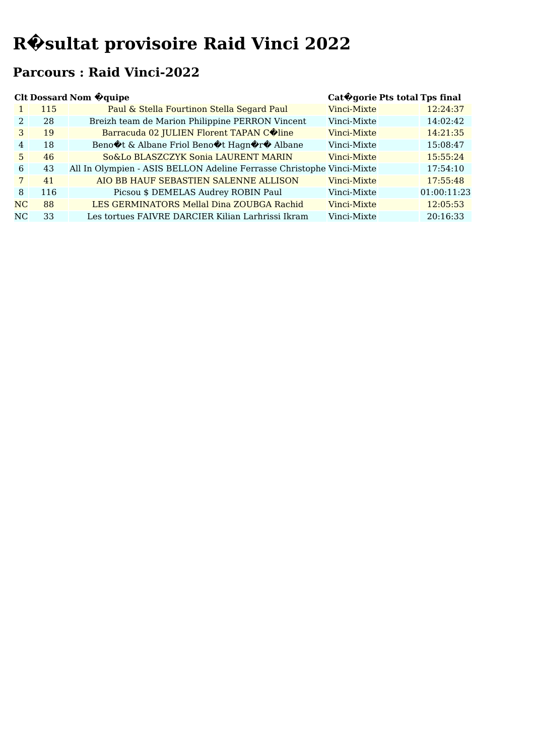### **Parcours : Raid Vinci-2022**

|                 |     | <b>Clt Dossard Nom @quipe</b>                                                                                                                      | Cat Ogorie Pts total Tps final |             |  |
|-----------------|-----|----------------------------------------------------------------------------------------------------------------------------------------------------|--------------------------------|-------------|--|
| 1               | 115 | Paul & Stella Fourtinon Stella Segard Paul                                                                                                         | Vinci-Mixte                    | 12:24:37    |  |
| 2               | 28  | Breizh team de Marion Philippine PERRON Vincent                                                                                                    | Vinci-Mixte                    | 14:02:42    |  |
| 3               | 19  | Barracuda 02 JULIEN Florent TAPAN COline                                                                                                           | Vinci-Mixte                    | 14:21:35    |  |
| 4               | 18  | Beno $\hat{\mathbf{\diamond}}$ t & Albane Friol Beno $\hat{\mathbf{\diamond}}$ t Hagn $\hat{\mathbf{\diamond}}$ r $\hat{\mathbf{\diamond}}$ Albane | Vinci-Mixte                    | 15:08:47    |  |
| 5               | 46  | So&Lo BLASZCZYK Sonia LAURENT MARIN                                                                                                                | Vinci-Mixte                    | 15:55:24    |  |
| 6               | 43  | All In Olympien - ASIS BELLON Adeline Ferrasse Christophe Vinci-Mixte                                                                              |                                | 17:54:10    |  |
| $7\phantom{.0}$ | 41  | AIO BB HAUF SEBASTIEN SALENNE ALLISON                                                                                                              | Vinci-Mixte                    | 17:55:48    |  |
| 8               | 116 | Picsou \$ DEMELAS Audrey ROBIN Paul                                                                                                                | Vinci-Mixte                    | 01:00:11:23 |  |
| N <sub>C</sub>  | 88  | LES GERMINATORS Mellal Dina ZOUBGA Rachid                                                                                                          | Vinci-Mixte                    | 12:05:53    |  |
| N <sub>C</sub>  | 33  | Les tortues FAIVRE DARCIER Kilian Larhrissi Ikram                                                                                                  | Vinci-Mixte                    | 20:16:33    |  |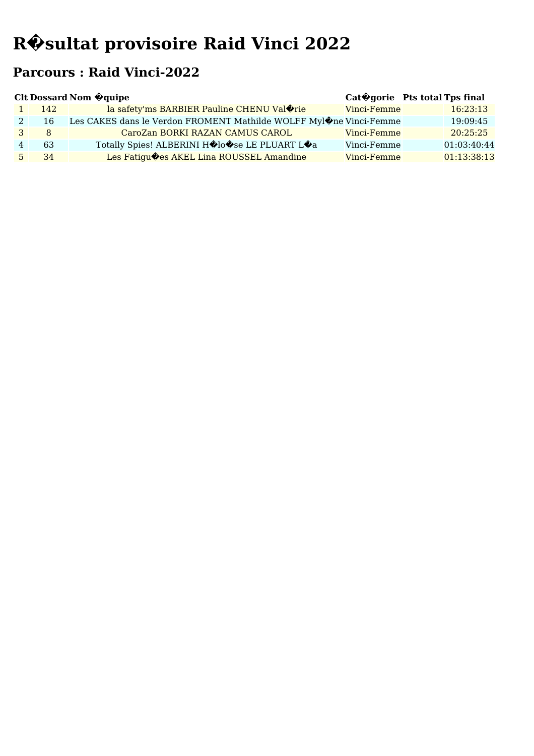### **Parcours : Raid Vinci-2022**

| <b>Clt Dossard Nom @quipe</b> |      |                                                                                          | Cat $\bigcirc$ gorie Pts total Tps final |             |
|-------------------------------|------|------------------------------------------------------------------------------------------|------------------------------------------|-------------|
|                               | 142. | la safety'ms BARBIER Pauline CHENU Val <sup>orie</sup>                                   | Vinci-Femme                              | 16:23:13    |
|                               | 16   | Les CAKES dans le Verdon FROMENT Mathilde WOLFF Myl $\hat{\mathbf{\Phi}}$ ne Vinci-Femme |                                          | 19:09:45    |
|                               | 8    | CaroZan BORKI RAZAN CAMUS CAROL                                                          | Vinci-Femme                              | 20:25:25    |
|                               | 63   | Totally Spies! ALBERINI H�lo�se LE PLUART L�a                                            | Vinci-Femme                              | 01:03:40:44 |
|                               | 34   | Les Fatigu $\lozenge$ es AKEL Lina ROUSSEL Amandine                                      | Vinci-Femme                              | 01:13:38:13 |